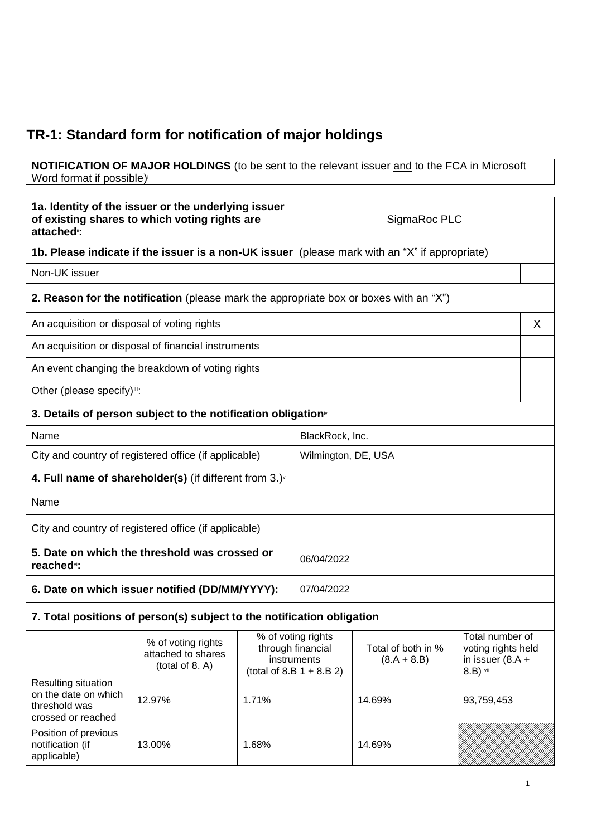# **TR-1: Standard form for notification of major holdings**

#### **NOTIFICATION OF MAJOR HOLDINGS** (to be sent to the relevant issuer and to the FCA in Microsoft Word format if possible)

| 1a. Identity of the issuer or the underlying issuer<br>of existing shares to which voting rights are<br>attached <sup>®</sup> : |                                                                                              |       | SigmaRoc PLC                                                                          |                                     |                                                                         |   |
|---------------------------------------------------------------------------------------------------------------------------------|----------------------------------------------------------------------------------------------|-------|---------------------------------------------------------------------------------------|-------------------------------------|-------------------------------------------------------------------------|---|
| <b>1b. Please indicate if the issuer is a non-UK issuer</b> (please mark with an "X" if appropriate)                            |                                                                                              |       |                                                                                       |                                     |                                                                         |   |
| Non-UK issuer                                                                                                                   |                                                                                              |       |                                                                                       |                                     |                                                                         |   |
|                                                                                                                                 | <b>2. Reason for the notification</b> (please mark the appropriate box or boxes with an "X") |       |                                                                                       |                                     |                                                                         |   |
| An acquisition or disposal of voting rights                                                                                     |                                                                                              |       |                                                                                       |                                     |                                                                         | X |
|                                                                                                                                 | An acquisition or disposal of financial instruments                                          |       |                                                                                       |                                     |                                                                         |   |
|                                                                                                                                 | An event changing the breakdown of voting rights                                             |       |                                                                                       |                                     |                                                                         |   |
| Other (please specify)ii:                                                                                                       |                                                                                              |       |                                                                                       |                                     |                                                                         |   |
|                                                                                                                                 | 3. Details of person subject to the notification obligation <sup>®</sup>                     |       |                                                                                       |                                     |                                                                         |   |
| Name                                                                                                                            |                                                                                              |       | BlackRock, Inc.                                                                       |                                     |                                                                         |   |
|                                                                                                                                 | City and country of registered office (if applicable)                                        |       | Wilmington, DE, USA                                                                   |                                     |                                                                         |   |
| 4. Full name of shareholder(s) (if different from $3.$ ) $\sqrt{ }$                                                             |                                                                                              |       |                                                                                       |                                     |                                                                         |   |
| Name                                                                                                                            |                                                                                              |       |                                                                                       |                                     |                                                                         |   |
| City and country of registered office (if applicable)                                                                           |                                                                                              |       |                                                                                       |                                     |                                                                         |   |
| 5. Date on which the threshold was crossed or<br>reached <sup>vi</sup> :                                                        |                                                                                              |       | 06/04/2022                                                                            |                                     |                                                                         |   |
| 6. Date on which issuer notified (DD/MM/YYYY):                                                                                  |                                                                                              |       | 07/04/2022                                                                            |                                     |                                                                         |   |
|                                                                                                                                 | 7. Total positions of person(s) subject to the notification obligation                       |       |                                                                                       |                                     |                                                                         |   |
|                                                                                                                                 | % of voting rights<br>attached to shares<br>(total of 8. A)                                  |       | % of voting rights<br>through financial<br>instruments<br>(total of 8.B $1 + 8.B 2$ ) | Total of both in %<br>$(8.A + 8.B)$ | Total number of<br>voting rights held<br>in issuer $(8.A +$<br>8.B) vii |   |
| Resulting situation<br>on the date on which<br>threshold was<br>crossed or reached                                              | 12.97%                                                                                       | 1.71% |                                                                                       | 14.69%                              | 93,759,453                                                              |   |
| Position of previous<br>notification (if<br>applicable)                                                                         | 13.00%                                                                                       | 1.68% |                                                                                       | 14.69%                              |                                                                         |   |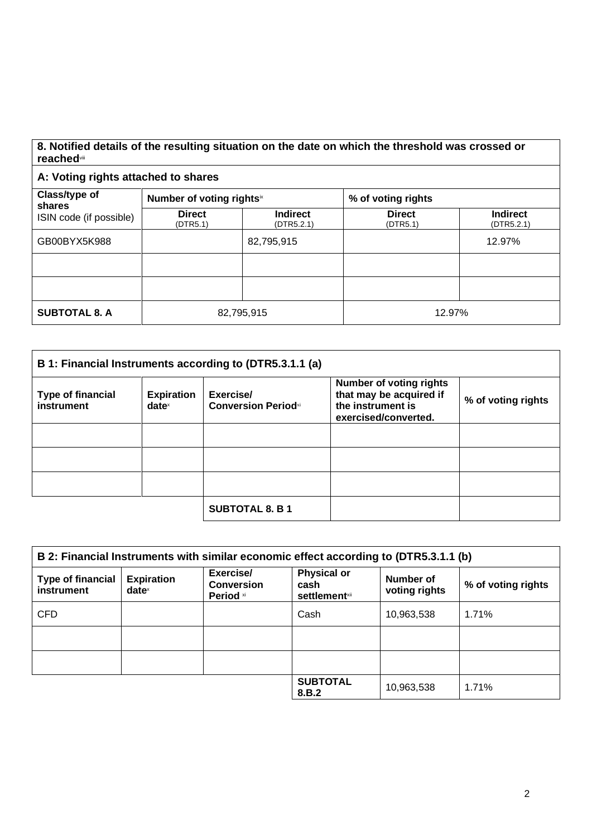## **8. Notified details of the resulting situation on the date on which the threshold was crossed or reached**viii

### **A: Voting rights attached to shares**

| Class/type of<br>shares<br>ISIN code (if possible) | Number of voting rights <sup>ix</sup> |                               | % of voting rights        |                               |  |
|----------------------------------------------------|---------------------------------------|-------------------------------|---------------------------|-------------------------------|--|
|                                                    | <b>Direct</b><br>(DTR5.1)             | <b>Indirect</b><br>(DTR5.2.1) | <b>Direct</b><br>(DTR5.1) | <b>Indirect</b><br>(DTR5.2.1) |  |
| GB00BYX5K988                                       |                                       | 82,795,915                    |                           | 12.97%                        |  |
|                                                    |                                       |                               |                           |                               |  |
|                                                    |                                       |                               |                           |                               |  |
| <b>SUBTOTAL 8. A</b>                               | 82,795,915                            |                               | 12.97%                    |                               |  |

| B 1: Financial Instruments according to (DTR5.3.1.1 (a) |                                      |                                         |                                                                                                        |                    |
|---------------------------------------------------------|--------------------------------------|-----------------------------------------|--------------------------------------------------------------------------------------------------------|--------------------|
| <b>Type of financial</b><br>instrument                  | <b>Expiration</b><br>$date^{\times}$ | Exercise/<br><b>Conversion Periodxi</b> | <b>Number of voting rights</b><br>that may be acquired if<br>the instrument is<br>exercised/converted. | % of voting rights |
|                                                         |                                      |                                         |                                                                                                        |                    |
|                                                         |                                      |                                         |                                                                                                        |                    |
|                                                         |                                      |                                         |                                                                                                        |                    |
|                                                         |                                      | <b>SUBTOTAL 8. B 1</b>                  |                                                                                                        |                    |

| B 2: Financial Instruments with similar economic effect according to (DTR5.3.1.1 (b) |                               |                                             |                                                                |                            |                    |
|--------------------------------------------------------------------------------------|-------------------------------|---------------------------------------------|----------------------------------------------------------------|----------------------------|--------------------|
| <b>Type of financial</b><br>instrument                                               | <b>Expiration</b><br>$date^*$ | Exercise/<br><b>Conversion</b><br>Period xi | <b>Physical or</b><br>cash<br><b>settlement</b> <sup>xii</sup> | Number of<br>voting rights | % of voting rights |
| <b>CFD</b>                                                                           |                               |                                             | Cash                                                           | 10,963,538                 | 1.71%              |
|                                                                                      |                               |                                             |                                                                |                            |                    |
|                                                                                      |                               |                                             |                                                                |                            |                    |
|                                                                                      |                               |                                             | <b>SUBTOTAL</b><br>8.B.2                                       | 10,963,538                 | 1.71%              |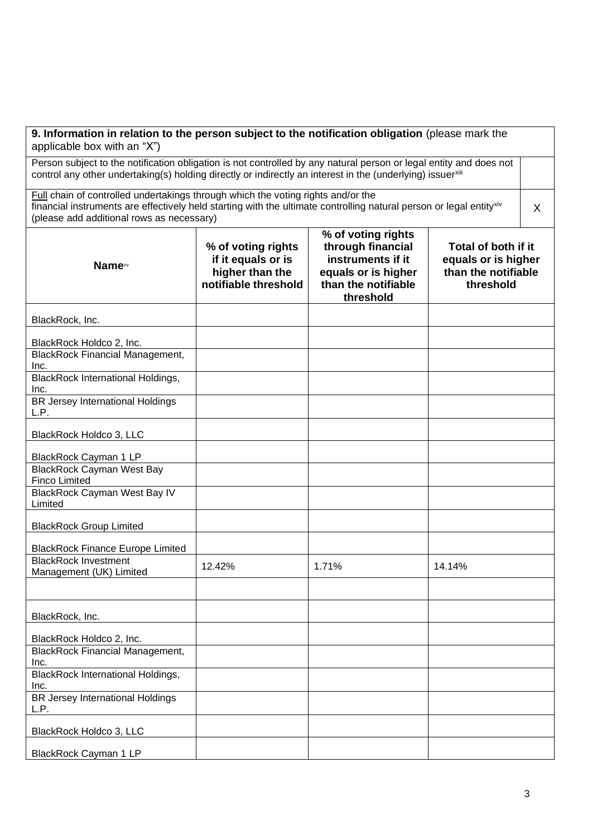| 9. Information in relation to the person subject to the notification obligation (please mark the<br>applicable box with an "X")                                                                                                                                  |                                                                                     |                                                                                                                         |                                                                                |  |
|------------------------------------------------------------------------------------------------------------------------------------------------------------------------------------------------------------------------------------------------------------------|-------------------------------------------------------------------------------------|-------------------------------------------------------------------------------------------------------------------------|--------------------------------------------------------------------------------|--|
| Person subject to the notification obligation is not controlled by any natural person or legal entity and does not<br>control any other undertaking(s) holding directly or indirectly an interest in the (underlying) issuerxili                                 |                                                                                     |                                                                                                                         |                                                                                |  |
| Full chain of controlled undertakings through which the voting rights and/or the<br>financial instruments are effectively held starting with the ultimate controlling natural person or legal entity <sup>xiv</sup><br>(please add additional rows as necessary) |                                                                                     |                                                                                                                         | X                                                                              |  |
| <b>Name</b> xv                                                                                                                                                                                                                                                   | % of voting rights<br>if it equals or is<br>higher than the<br>notifiable threshold | % of voting rights<br>through financial<br>instruments if it<br>equals or is higher<br>than the notifiable<br>threshold | Total of both if it<br>equals or is higher<br>than the notifiable<br>threshold |  |
| BlackRock, Inc.                                                                                                                                                                                                                                                  |                                                                                     |                                                                                                                         |                                                                                |  |
| BlackRock Holdco 2, Inc.                                                                                                                                                                                                                                         |                                                                                     |                                                                                                                         |                                                                                |  |
| <b>BlackRock Financial Management,</b><br>Inc.                                                                                                                                                                                                                   |                                                                                     |                                                                                                                         |                                                                                |  |
| <b>BlackRock International Holdings,</b><br>Inc.                                                                                                                                                                                                                 |                                                                                     |                                                                                                                         |                                                                                |  |
| <b>BR Jersey International Holdings</b><br>L.P.                                                                                                                                                                                                                  |                                                                                     |                                                                                                                         |                                                                                |  |
| BlackRock Holdco 3, LLC                                                                                                                                                                                                                                          |                                                                                     |                                                                                                                         |                                                                                |  |
| BlackRock Cayman 1 LP                                                                                                                                                                                                                                            |                                                                                     |                                                                                                                         |                                                                                |  |
| <b>BlackRock Cayman West Bay</b><br><b>Finco Limited</b>                                                                                                                                                                                                         |                                                                                     |                                                                                                                         |                                                                                |  |
| <b>BlackRock Cayman West Bay IV</b><br>Limited                                                                                                                                                                                                                   |                                                                                     |                                                                                                                         |                                                                                |  |
| <b>BlackRock Group Limited</b>                                                                                                                                                                                                                                   |                                                                                     |                                                                                                                         |                                                                                |  |
| <b>BlackRock Finance Europe Limited</b>                                                                                                                                                                                                                          |                                                                                     |                                                                                                                         |                                                                                |  |
| <b>BlackRock Investment</b><br>Management (UK) Limited                                                                                                                                                                                                           | 12.42%                                                                              | 1.71%                                                                                                                   | 14.14%                                                                         |  |
|                                                                                                                                                                                                                                                                  |                                                                                     |                                                                                                                         |                                                                                |  |
| BlackRock, Inc.                                                                                                                                                                                                                                                  |                                                                                     |                                                                                                                         |                                                                                |  |
| BlackRock Holdco 2, Inc.                                                                                                                                                                                                                                         |                                                                                     |                                                                                                                         |                                                                                |  |
| <b>BlackRock Financial Management,</b><br>Inc.                                                                                                                                                                                                                   |                                                                                     |                                                                                                                         |                                                                                |  |
| <b>BlackRock International Holdings,</b><br>Inc.                                                                                                                                                                                                                 |                                                                                     |                                                                                                                         |                                                                                |  |
| <b>BR Jersey International Holdings</b><br>L.P.                                                                                                                                                                                                                  |                                                                                     |                                                                                                                         |                                                                                |  |
| BlackRock Holdco 3, LLC                                                                                                                                                                                                                                          |                                                                                     |                                                                                                                         |                                                                                |  |
| BlackRock Cayman 1 LP                                                                                                                                                                                                                                            |                                                                                     |                                                                                                                         |                                                                                |  |